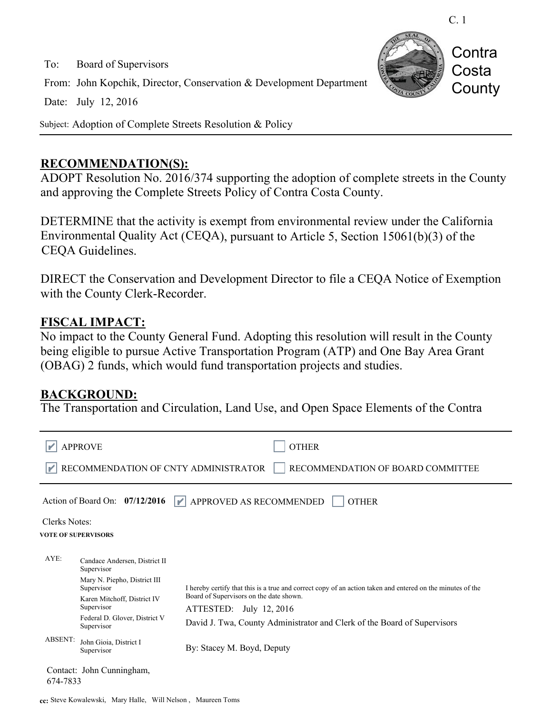C. 1

**Contra** 

Costa

**County** 

To: Board of Supervisors From: John Kopchik, Director, Conservation & Development Department Date: July 12, 2016

Subject: Adoption of Complete Streets Resolution & Policy

#### **RECOMMENDATION(S):**

ADOPT Resolution No. 2016/374 supporting the adoption of complete streets in the County and approving the Complete Streets Policy of Contra Costa County.

DETERMINE that the activity is exempt from environmental review under the California Environmental Quality Act (CEQA), pursuant to Article 5, Section 15061(b)(3) of the CEQA Guidelines.

DIRECT the Conservation and Development Director to file a CEQA Notice of Exemption with the County Clerk-Recorder.

### **FISCAL IMPACT:**

No impact to the County General Fund. Adopting this resolution will result in the County being eligible to pursue Active Transportation Program (ATP) and One Bay Area Grant (OBAG) 2 funds, which would fund transportation projects and studies.

#### **BACKGROUND:**

The Transportation and Circulation, Land Use, and Open Space Elements of the Contra

|                                                                           | <b>APPROVE</b>                                                                                                                                                                        | <b>OTHER</b>                                                                                                                                                                                                                                                 |
|---------------------------------------------------------------------------|---------------------------------------------------------------------------------------------------------------------------------------------------------------------------------------|--------------------------------------------------------------------------------------------------------------------------------------------------------------------------------------------------------------------------------------------------------------|
| RECOMMENDATION OF CNTY ADMINISTRATOR<br>RECOMMENDATION OF BOARD COMMITTEE |                                                                                                                                                                                       |                                                                                                                                                                                                                                                              |
|                                                                           | Action of Board On: $07/12/2016$                                                                                                                                                      | APPROVED AS RECOMMENDED<br><b>OTHER</b><br>M                                                                                                                                                                                                                 |
| Clerks Notes:<br><b>VOTE OF SUPERVISORS</b>                               |                                                                                                                                                                                       |                                                                                                                                                                                                                                                              |
| AYE:                                                                      | Candace Andersen, District II<br>Supervisor<br>Mary N. Piepho, District III<br>Supervisor<br>Karen Mitchoff, District IV<br>Supervisor<br>Federal D. Glover, District V<br>Supervisor | I hereby certify that this is a true and correct copy of an action taken and entered on the minutes of the<br>Board of Supervisors on the date shown.<br>ATTESTED: July 12, 2016<br>David J. Twa, County Administrator and Clerk of the Board of Supervisors |
| <b>ABSENT:</b>                                                            | John Gioia, District I<br>Supervisor                                                                                                                                                  | By: Stacey M. Boyd, Deputy                                                                                                                                                                                                                                   |
| Contact: John Cunningham,<br>674-7833                                     |                                                                                                                                                                                       |                                                                                                                                                                                                                                                              |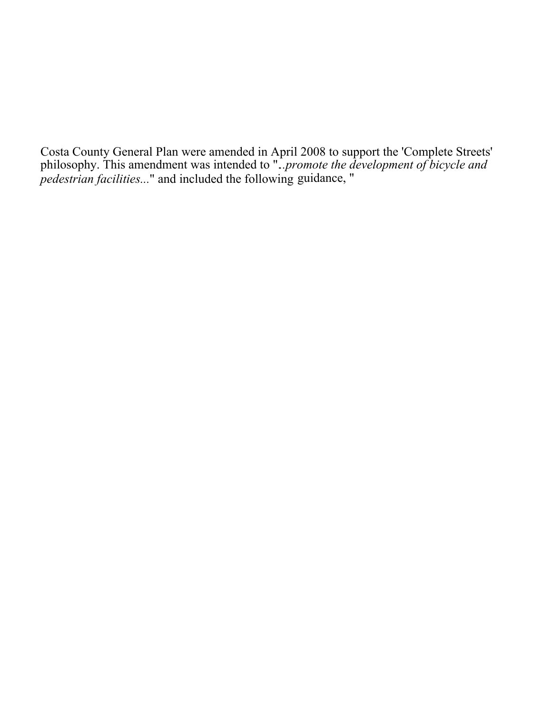Costa County General Plan were amended in April 2008 to support the 'Complete Streets' philosophy. This amendment was intended to ".*..promote the development of bicycle and pedestrian facilities...*" and included the following guidance, "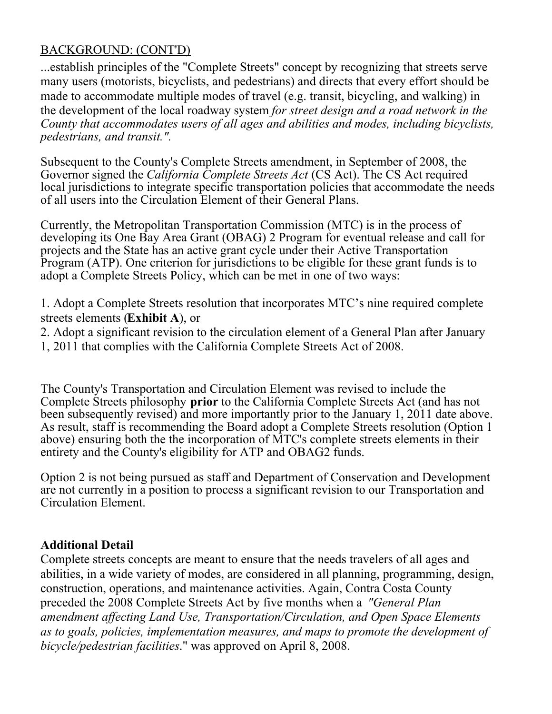## BACKGROUND: (CONT'D)

...establish principles of the "Complete Streets" concept by recognizing that streets serve many users (motorists, bicyclists, and pedestrians) and directs that every effort should be made to accommodate multiple modes of travel (e.g. transit, bicycling, and walking) in the development of the local roadway system *for street design and a road network in the County that accommodates users of all ages and abilities and modes, including bicyclists, pedestrians, and transit.".*

Subsequent to the County's Complete Streets amendment, in September of 2008, the Governor signed the *California Complete Streets Act* (CS Act). The CS Act required local jurisdictions to integrate specific transportation policies that accommodate the needs of all users into the Circulation Element of their General Plans.

Currently, the Metropolitan Transportation Commission (MTC) is in the process of developing its One Bay Area Grant (OBAG) 2 Program for eventual release and call for projects and the State has an active grant cycle under their Active Transportation Program (ATP). One criterion for jurisdictions to be eligible for these grant funds is to adopt a Complete Streets Policy, which can be met in one of two ways:

1. Adopt a Complete Streets resolution that incorporates MTC's nine required complete streets elements (**Exhibit A**), or

- 2. Adopt a significant revision to the circulation element of a General Plan after January
- 1, 2011 that complies with the California Complete Streets Act of 2008.

The County's Transportation and Circulation Element was revised to include the Complete Streets philosophy **prior** to the California Complete Streets Act (and has not been subsequently revised) and more importantly prior to the January 1, 2011 date above. As result, staff is recommending the Board adopt a Complete Streets resolution (Option 1 above) ensuring both the the incorporation of MTC's complete streets elements in their entirety and the County's eligibility for ATP and OBAG2 funds.

Option 2 is not being pursued as staff and Department of Conservation and Development are not currently in a position to process a significant revision to our Transportation and Circulation Element.

## **Additional Detail**

Complete streets concepts are meant to ensure that the needs travelers of all ages and abilities, in a wide variety of modes, are considered in all planning, programming, design, construction, operations, and maintenance activities. Again, Contra Costa County preceded the 2008 Complete Streets Act by five months when a *"General Plan amendment affecting Land Use, Transportation/Circulation, and Open Space Elements as to goals, policies, implementation measures, and maps to promote the development of bicycle/pedestrian facilities*." was approved on April 8, 2008.